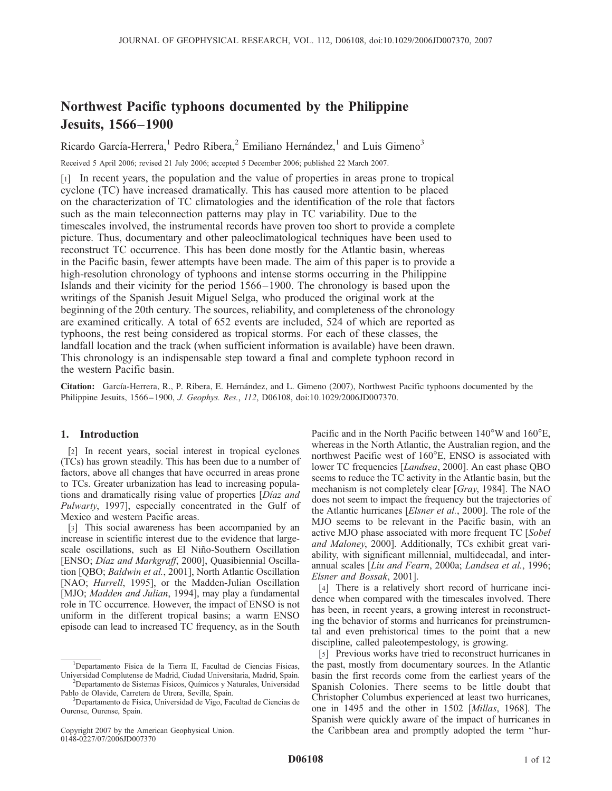# Northwest Pacific typhoons documented by the Philippine Jesuits, 1566–1900

Ricardo García-Herrera,<sup>1</sup> Pedro Ribera,<sup>2</sup> Emiliano Hernández,<sup>1</sup> and Luis Gimeno<sup>3</sup>

Received 5 April 2006; revised 21 July 2006; accepted 5 December 2006; published 22 March 2007.

[1] In recent years, the population and the value of properties in areas prone to tropical cyclone (TC) have increased dramatically. This has caused more attention to be placed on the characterization of TC climatologies and the identification of the role that factors such as the main teleconnection patterns may play in TC variability. Due to the timescales involved, the instrumental records have proven too short to provide a complete picture. Thus, documentary and other paleoclimatological techniques have been used to reconstruct TC occurrence. This has been done mostly for the Atlantic basin, whereas in the Pacific basin, fewer attempts have been made. The aim of this paper is to provide a high-resolution chronology of typhoons and intense storms occurring in the Philippine Islands and their vicinity for the period 1566–1900. The chronology is based upon the writings of the Spanish Jesuit Miguel Selga, who produced the original work at the beginning of the 20th century. The sources, reliability, and completeness of the chronology are examined critically. A total of 652 events are included, 524 of which are reported as typhoons, the rest being considered as tropical storms. For each of these classes, the landfall location and the track (when sufficient information is available) have been drawn. This chronology is an indispensable step toward a final and complete typhoon record in the western Pacific basin.

Citation: García-Herrera, R., P. Ribera, E. Hernández, and L. Gimeno (2007), Northwest Pacific typhoons documented by the Philippine Jesuits, 1566–1900, J. Geophys. Res., 112, D06108, doi:10.1029/2006JD007370.

## 1. Introduction

[2] In recent years, social interest in tropical cyclones (TCs) has grown steadily. This has been due to a number of factors, above all changes that have occurred in areas prone to TCs. Greater urbanization has lead to increasing populations and dramatically rising value of properties [Díaz and Pulwarty, 1997], especially concentrated in the Gulf of Mexico and western Pacific areas.

[3] This social awareness has been accompanied by an increase in scientific interest due to the evidence that largescale oscillations, such as El Niño-Southern Oscillation [ENSO; Díaz and Markgraff, 2000], Quasibiennial Oscillation [QBO; Baldwin et al., 2001], North Atlantic Oscillation [NAO; Hurrell, 1995], or the Madden-Julian Oscillation [MJO; Madden and Julian, 1994], may play a fundamental role in TC occurrence. However, the impact of ENSO is not uniform in the different tropical basins; a warm ENSO episode can lead to increased TC frequency, as in the South

Pablo de Olavide, Carretera de Utrera, Seville, Spain.

Pacific and in the North Pacific between  $140^{\circ}$ W and  $160^{\circ}$ E, whereas in the North Atlantic, the Australian region, and the northwest Pacific west of 160°E, ENSO is associated with lower TC frequencies [Landsea, 2000]. An east phase QBO seems to reduce the TC activity in the Atlantic basin, but the mechanism is not completely clear [Gray, 1984]. The NAO does not seem to impact the frequency but the trajectories of the Atlantic hurricanes [Elsner et al., 2000]. The role of the MJO seems to be relevant in the Pacific basin, with an active MJO phase associated with more frequent TC [Sobel and Maloney, 2000]. Additionally, TCs exhibit great variability, with significant millennial, multidecadal, and interannual scales [Liu and Fearn, 2000a; Landsea et al., 1996; Elsner and Bossak, 2001].

[4] There is a relatively short record of hurricane incidence when compared with the timescales involved. There has been, in recent years, a growing interest in reconstructing the behavior of storms and hurricanes for preinstrumental and even prehistorical times to the point that a new discipline, called paleotempestology, is growing.

[5] Previous works have tried to reconstruct hurricanes in the past, mostly from documentary sources. In the Atlantic basin the first records come from the earliest years of the Spanish Colonies. There seems to be little doubt that Christopher Columbus experienced at least two hurricanes, one in 1495 and the other in 1502 [Millas, 1968]. The Spanish were quickly aware of the impact of hurricanes in the Caribbean area and promptly adopted the term ''hur-

<sup>&</sup>lt;sup>1</sup>Departamento Física de la Tierra II, Facultad de Ciencias Físicas, Universidad Complutense de Madrid, Ciudad Universitaria, Madrid, Spain. <sup>2</sup> <sup>2</sup>Departamento de Sistemas Físicos, Químicos y Naturales, Universidad

 $3$ Departamento de Física, Universidad de Vigo, Facultad de Ciencias de Ourense, Ourense, Spain.

Copyright 2007 by the American Geophysical Union. 0148-0227/07/2006JD007370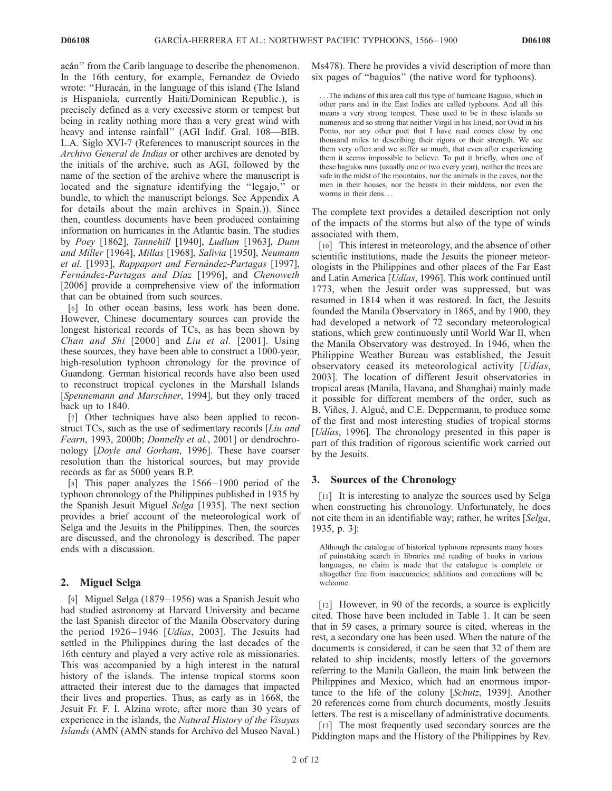acán" from the Carib language to describe the phenomenon. In the 16th century, for example, Fernandez de Oviedo wrote: "Huracán, in the language of this island (The Island is Hispaniola, currently Haiti/Dominican Republic.), is precisely defined as a very excessive storm or tempest but being in reality nothing more than a very great wind with heavy and intense rainfall'' (AGI Indif. Gral. 108—BIB. L.A. Siglo XVI-7 (References to manuscript sources in the Archivo General de Indias or other archives are denoted by the initials of the archive, such as AGI, followed by the name of the section of the archive where the manuscript is located and the signature identifying the "legajo," or bundle, to which the manuscript belongs. See Appendix A for details about the main archives in Spain.)). Since then, countless documents have been produced containing information on hurricanes in the Atlantic basin. The studies by Poey [1862], Tannehill [1940], Ludlum [1963], Dunn and Miller [1964], Millas [1968], Salivia [1950], Neumann et al. [1993], Rappaport and Fernández-Partagas [1997], Fernández-Partagas and Díaz [1996], and Chenoweth [2006] provide a comprehensive view of the information that can be obtained from such sources.

[6] In other ocean basins, less work has been done. However, Chinese documentary sources can provide the longest historical records of TCs, as has been shown by Chan and Shi [2000] and Liu et al. [2001]. Using these sources, they have been able to construct a 1000-year, high-resolution typhoon chronology for the province of Guandong. German historical records have also been used to reconstruct tropical cyclones in the Marshall Islands [Spennemann and Marschner, 1994], but they only traced back up to 1840.

[7] Other techniques have also been applied to reconstruct TCs, such as the use of sedimentary records [Liu and Fearn, 1993, 2000b; Donnelly et al., 2001] or dendrochronology [Doyle and Gorham, 1996]. These have coarser resolution than the historical sources, but may provide records as far as 5000 years B.P.

[8] This paper analyzes the 1566– 1900 period of the typhoon chronology of the Philippines published in 1935 by the Spanish Jesuit Miguel Selga [1935]. The next section provides a brief account of the meteorological work of Selga and the Jesuits in the Philippines. Then, the sources are discussed, and the chronology is described. The paper ends with a discussion.

# 2. Miguel Selga

[9] Miguel Selga (1879–1956) was a Spanish Jesuit who had studied astronomy at Harvard University and became the last Spanish director of the Manila Observatory during the period  $1926 - 1946$  [*Udias*, 2003]. The Jesuits had settled in the Philippines during the last decades of the 16th century and played a very active role as missionaries. This was accompanied by a high interest in the natural history of the islands. The intense tropical storms soon attracted their interest due to the damages that impacted their lives and properties. Thus, as early as in 1668, the Jesuit Fr. F. I. Alzina wrote, after more than 30 years of experience in the islands, the Natural History of the Visayas Islands (AMN (AMN stands for Archivo del Museo Naval.)

Ms478). There he provides a vivid description of more than six pages of "baguios" (the native word for typhoons).

...The indians of this area call this type of hurricane Baguio, which in other parts and in the East Indies are called typhoons. And all this means a very strong tempest. These used to be in these islands so numerous and so strong that neither Virgil in his Eneid, nor Ovid in his Ponto, nor any other poet that I have read comes close by one thousand miles to describing their rigors or their strength. We see them very often and we suffer so much, that even after experiencing them it seems impossible to believe. To put it briefly, when one of these baguíos runs (usually one or two every year), neither the trees are safe in the midst of the mountains, nor the animals in the caves, nor the men in their houses, nor the beasts in their middens, nor even the worms in their dens...

The complete text provides a detailed description not only of the impacts of the storms but also of the type of winds associated with them.

[10] This interest in meteorology, and the absence of other scientific institutions, made the Jesuits the pioneer meteorologists in the Philippines and other places of the Far East and Latin America [*Udias*, 1996]. This work continued until 1773, when the Jesuit order was suppressed, but was resumed in 1814 when it was restored. In fact, the Jesuits founded the Manila Observatory in 1865, and by 1900, they had developed a network of 72 secondary meteorological stations, which grew continuously until World War II, when the Manila Observatory was destroyed. In 1946, when the Philippine Weather Bureau was established, the Jesuit observatory ceased its meteorological activity [*Udias*, 2003]. The location of different Jesuit observatories in tropical areas (Manila, Havana, and Shanghai) mainly made it possible for different members of the order, such as B. Viñes, J. Algué, and C.E. Deppermann, to produce some of the first and most interesting studies of tropical storms [*Udias*, 1996]. The chronology presented in this paper is part of this tradition of rigorous scientific work carried out by the Jesuits.

## 3. Sources of the Chronology

[11] It is interesting to analyze the sources used by Selga when constructing his chronology. Unfortunately, he does not cite them in an identifiable way; rather, he writes [Selga, 1935, p. 3]:

Although the catalogue of historical typhoons represents many hours of painstaking search in libraries and reading of books in various languages, no claim is made that the catalogue is complete or altogether free from inaccuracies; additions and corrections will be welcome.

[12] However, in 90 of the records, a source is explicitly cited. Those have been included in Table 1. It can be seen that in 59 cases, a primary source is cited, whereas in the rest, a secondary one has been used. When the nature of the documents is considered, it can be seen that 32 of them are related to ship incidents, mostly letters of the governors referring to the Manila Galleon, the main link between the Philippines and Mexico, which had an enormous importance to the life of the colony [Schutz, 1939]. Another 20 references come from church documents, mostly Jesuits letters. The rest is a miscellany of administrative documents.

[13] The most frequently used secondary sources are the Piddington maps and the History of the Philippines by Rev.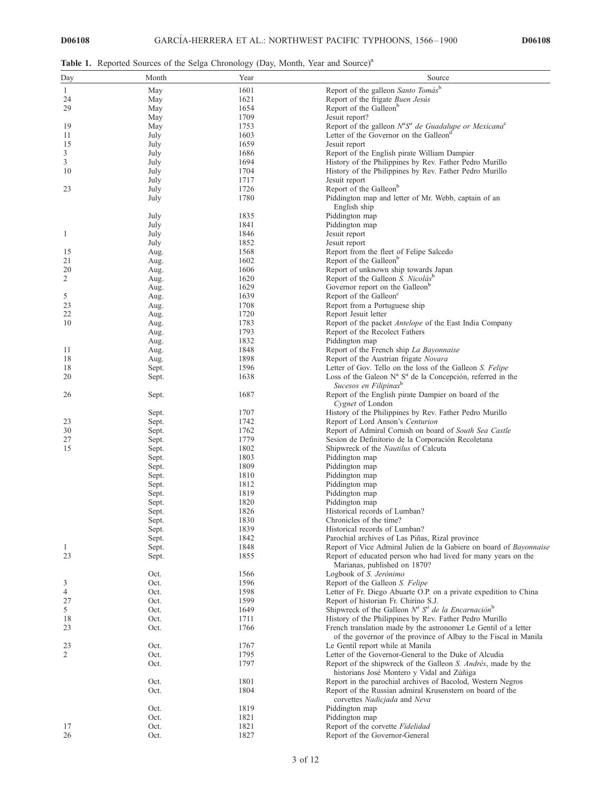Table 1. Reported Sources of the Selga Chronology (Day, Month, Year and Source)<sup>a</sup>

| Day | Month | Year | Source                                                                    |
|-----|-------|------|---------------------------------------------------------------------------|
| 1   | May   | 1601 | Report of the galleon Santo Tomás <sup>b</sup>                            |
| 24  | May   | 1621 | Report of the frigate Buen Jesús                                          |
| 29  | May   | 1654 | Report of the Galleon <sup>b</sup>                                        |
|     | May   | 1709 | Jesuit report?                                                            |
| 19  | May   | 1753 | Report of the galleon $N^aS^a$ de Guadalupe or Mexicana <sup>c</sup>      |
| 11  | July  | 1603 | Letter of the Governor on the Galleon <sup>a</sup>                        |
| 15  | July  | 1659 | Jesuit report                                                             |
| 3   | July  | 1686 | Report of the English pirate William Dampier                              |
| 3   | July  | 1694 | History of the Philippines by Rev. Father Pedro Murillo                   |
| 10  | July  | 1704 | History of the Philippines by Rev. Father Pedro Murillo                   |
|     | July  | 1717 | Jesuit report                                                             |
| 23  |       | 1726 | Report of the Galleon <sup>b</sup>                                        |
|     | July  | 1780 |                                                                           |
|     | July  |      | Piddington map and letter of Mr. Webb, captain of an                      |
|     |       |      | English ship                                                              |
|     | July  | 1835 | Piddington map                                                            |
|     | July  | 1841 | Piddington map                                                            |
| 1   | July  | 1846 | Jesuit report                                                             |
|     | July  | 1852 | Jesuit report                                                             |
| 15  | Aug.  | 1568 | Report from the fleet of Felipe Salcedo                                   |
| 21  | Aug.  | 1602 | Report of the Galleon <sup>b</sup>                                        |
| 20  | Aug.  | 1606 | Report of unknown ship towards Japan                                      |
| 2   | Aug.  | 1620 | Report of the Galleon S. Nicolás <sup>b</sup>                             |
|     | Aug.  | 1629 | Governor report on the Galleon <sup>b</sup>                               |
| 5   | Aug.  | 1639 | Report of the Galleon <sup>c</sup>                                        |
| 23  | Aug.  | 1708 | Report from a Portuguese ship                                             |
| 22  | Aug.  | 1720 | Report Jesuit letter                                                      |
| 10  | Aug.  | 1783 | Report of the packet <i>Antelope</i> of the East India Company            |
|     | Aug.  | 1793 | Report of the Recolect Fathers                                            |
|     | Aug.  | 1832 | Piddington map                                                            |
| 11  | Aug.  | 1848 | Report of the French ship La Bayonnaise                                   |
| 18  | Aug.  | 1898 | Report of the Austrian frigate Novara                                     |
| 18  | Sept. | 1596 | Letter of Gov. Tello on the loss of the Galleon S. Felipe                 |
| 20  | Sept. | 1638 | Loss of the Galeon $N^a$ $S^a$ de la Concepción, referred in the          |
|     |       |      | Sucesos en Filipinas <sup>b</sup>                                         |
| 26  | Sept. | 1687 | Report of the English pirate Dampier on board of the                      |
|     |       |      | Cygnet of London                                                          |
|     | Sept. | 1707 | History of the Philippines by Rev. Father Pedro Murillo                   |
| 23  | Sept. | 1742 | Report of Lord Anson's Centurion                                          |
| 30  | Sept. | 1762 | Report of Admiral Cornish on board of South Sea Castle                    |
| 27  | Sept. | 1779 | Sesion de Definitorio de la Corporación Recoletana                        |
| 15  | Sept. | 1802 | Shipwreck of the <i>Nautilus</i> of Calcuta                               |
|     | Sept. | 1803 | Piddington map                                                            |
|     | Sept. | 1809 | Piddington map                                                            |
|     | Sept. | 1810 | Piddington map                                                            |
|     | Sept. | 1812 | Piddington map                                                            |
|     | Sept. | 1819 | Piddington map                                                            |
|     | Sept. | 1820 | Piddington map                                                            |
|     | Sept. | 1826 | Historical records of Lumban?                                             |
|     | Sept. | 1830 | Chronicles of the time?                                                   |
|     | Sept. | 1839 | Historical records of Lumban?                                             |
|     | Sept. | 1842 | Parochial archives of Las Piñas, Rizal province                           |
| 1   | Sept. | 1848 | Report of Vice Admiral Julien de la Gabiere on board of <i>Bayonnaise</i> |
| 23  | Sept. | 1855 | Report of educated person who had lived for many years on the             |
|     |       |      | Marianas, published on 1870?                                              |
|     | Oct.  | 1566 | Logbook of S. Jerónimo                                                    |
| 3   | Oct.  | 1596 | Report of the Galleon S. Felipe                                           |
| 4   | Oct.  | 1598 | Letter of Fr. Diego Abuarte O.P. on a private expedition to China         |
| 27  | Oct.  | 1599 | Report of historian Fr. Chirino S.J.                                      |
| 5   | Oct.  | 1649 | Shipwreck of the Galleon $N^a$ $S^a$ de la Encarnación <sup>b</sup>       |
| 18  | Oct.  | 1711 | History of the Philippines by Rev. Father Pedro Murillo                   |
| 23  | Oct.  | 1766 | French translation made by the astronomer Le Gentil of a letter           |
|     |       |      | of the governor of the province of Albay to the Fiscal in Manila          |
| 23  | Oct.  | 1767 | Le Gentil report while at Manila                                          |
| 2   | Oct.  | 1795 | Letter of the Governor-General to the Duke of Alcudia                     |
|     | Oct.  | 1797 | Report of the shipwreck of the Galleon S. Andrés, made by the             |
|     |       |      | historians José Montero y Vidal and Zúñiga                                |
|     | Oct.  | 1801 | Report in the parochial archives of Bacolod, Western Negros               |
|     | Oct.  | 1804 | Report of the Russian admiral Krusenstern on board of the                 |
|     |       |      | corvettes Nadicjada and Neva                                              |
|     | Oct.  | 1819 | Piddington map                                                            |
|     | Oct.  | 1821 | Piddington map                                                            |
| 17  | Oct.  | 1821 | Report of the corvette Fidelidad                                          |
| 26  | Oct.  | 1827 | Report of the Governor-General                                            |
|     |       |      |                                                                           |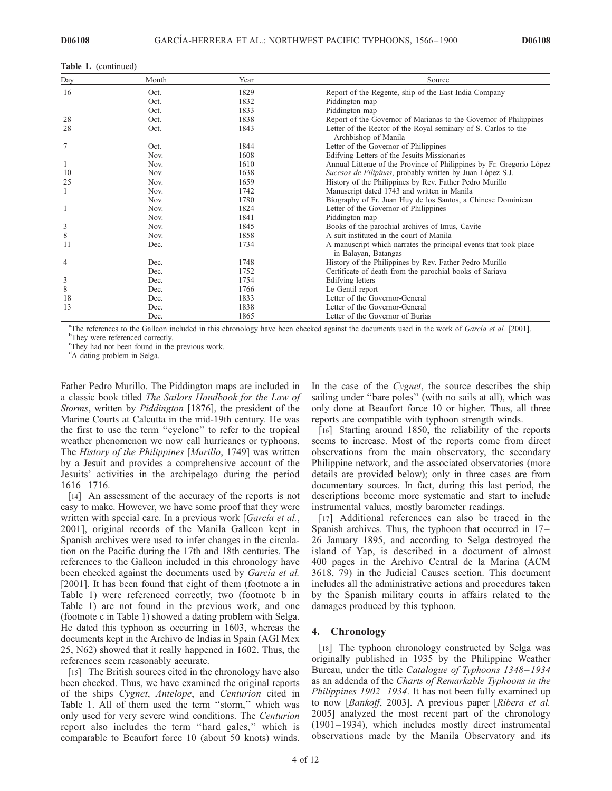| Day | Month | Year | Source                                                                                   |
|-----|-------|------|------------------------------------------------------------------------------------------|
| 16  | Oct.  | 1829 | Report of the Regente, ship of the East India Company                                    |
|     | Oct.  | 1832 | Piddington map                                                                           |
|     | Oct.  | 1833 | Piddington map                                                                           |
| 28  | Oct.  | 1838 | Report of the Governor of Marianas to the Governor of Philippines                        |
| 28  | Oct.  | 1843 | Letter of the Rector of the Royal seminary of S. Carlos to the<br>Archbishop of Manila   |
| 7   | Oct.  | 1844 | Letter of the Governor of Philippines                                                    |
|     | Nov.  | 1608 | Edifying Letters of the Jesuits Missionaries                                             |
| 1   | Nov.  | 1610 | Annual Litterae of the Province of Philippines by Fr. Gregorio López                     |
| 10  | Nov.  | 1638 | Sucesos de Filipinas, probably written by Juan López S.J.                                |
| 25  | Nov.  | 1659 | History of the Philippines by Rev. Father Pedro Murillo                                  |
| 1   | Nov.  | 1742 | Manuscript dated 1743 and written in Manila                                              |
|     | Nov.  | 1780 | Biography of Fr. Juan Huy de los Santos, a Chinese Dominican                             |
|     | Nov.  | 1824 | Letter of the Governor of Philippines                                                    |
|     | Nov.  | 1841 | Piddington map                                                                           |
| 3   | Nov.  | 1845 | Books of the parochial archives of Imus, Cavite                                          |
| 8   | Nov.  | 1858 | A suit instituted in the court of Manila                                                 |
| 11  | Dec.  | 1734 | A manuscript which narrates the principal events that took place<br>in Balayan, Batangas |
| 4   | Dec.  | 1748 | History of the Philippines by Rev. Father Pedro Murillo                                  |
|     | Dec.  | 1752 | Certificate of death from the parochial books of Sariaya                                 |
| 3   | Dec.  | 1754 | Edifying letters                                                                         |
| 8   | Dec.  | 1766 | Le Gentil report                                                                         |
| 18  | Dec.  | 1833 | Letter of the Governor-General                                                           |
| 13  | Dec.  | 1838 | Letter of the Governor-General                                                           |
|     | Dec.  | 1865 | Letter of the Governor of Burias                                                         |

<sup>a</sup>The references to the Galleon included in this chronology have been checked against the documents used in the work of *García et al.* [2001]. <sup>b</sup>They were referenced correctly.

<sup>c</sup>They had not been found in the previous work.

<sup>d</sup>A dating problem in Selga.

Father Pedro Murillo. The Piddington maps are included in a classic book titled The Sailors Handbook for the Law of Storms, written by *Piddington* [1876], the president of the Marine Courts at Calcutta in the mid-19th century. He was the first to use the term ''cyclone'' to refer to the tropical weather phenomenon we now call hurricanes or typhoons. The History of the Philippines [Murillo, 1749] was written by a Jesuit and provides a comprehensive account of the Jesuits' activities in the archipelago during the period 1616 – 1716.

[14] An assessment of the accuracy of the reports is not easy to make. However, we have some proof that they were written with special care. In a previous work [García et al., 2001], original records of the Manila Galleon kept in Spanish archives were used to infer changes in the circulation on the Pacific during the 17th and 18th centuries. The references to the Galleon included in this chronology have been checked against the documents used by García et al. [2001]. It has been found that eight of them (footnote a in Table 1) were referenced correctly, two (footnote b in Table 1) are not found in the previous work, and one (footnote c in Table 1) showed a dating problem with Selga. He dated this typhoon as occurring in 1603, whereas the documents kept in the Archivo de Indias in Spain (AGI Mex 25, N62) showed that it really happened in 1602. Thus, the references seem reasonably accurate.

[15] The British sources cited in the chronology have also been checked. Thus, we have examined the original reports of the ships Cygnet, Antelope, and Centurion cited in Table 1. All of them used the term "storm," which was only used for very severe wind conditions. The Centurion report also includes the term ''hard gales,'' which is comparable to Beaufort force 10 (about 50 knots) winds. In the case of the *Cygnet*, the source describes the ship sailing under "bare poles" (with no sails at all), which was only done at Beaufort force 10 or higher. Thus, all three reports are compatible with typhoon strength winds.

[16] Starting around 1850, the reliability of the reports seems to increase. Most of the reports come from direct observations from the main observatory, the secondary Philippine network, and the associated observatories (more details are provided below); only in three cases are from documentary sources. In fact, during this last period, the descriptions become more systematic and start to include instrumental values, mostly barometer readings.

[17] Additional references can also be traced in the Spanish archives. Thus, the typhoon that occurred in 17– 26 January 1895, and according to Selga destroyed the island of Yap, is described in a document of almost 400 pages in the Archivo Central de la Marina (ACM 3618, 79) in the Judicial Causes section. This document includes all the administrative actions and procedures taken by the Spanish military courts in affairs related to the damages produced by this typhoon.

#### 4. Chronology

[18] The typhoon chronology constructed by Selga was originally published in 1935 by the Philippine Weather Bureau, under the title Catalogue of Typhoons 1348-1934 as an addenda of the Charts of Remarkable Typhoons in the Philippines 1902–1934. It has not been fully examined up to now [Bankoff, 2003]. A previous paper [Ribera et al. 2005] analyzed the most recent part of the chronology  $(1901 - 1934)$ , which includes mostly direct instrumental observations made by the Manila Observatory and its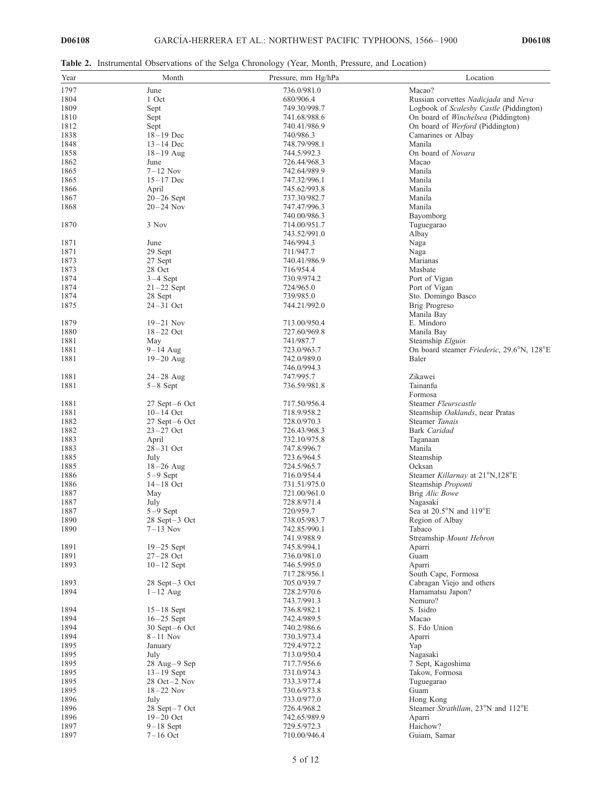Table 2. Instrumental Observations of the Selga Chronology (Year, Month, Pressure, and Location)

| Year | Month              | Pressure, mm Hg/hPa | Location                                    |
|------|--------------------|---------------------|---------------------------------------------|
| 1797 | June               | 736.0/981.0         | Macao?                                      |
| 1804 | 1 Oct              | 680/906.4           | Russian corvettes Nadicjada and Neva        |
| 1809 | Sept               | 749.30/998.7        | Logbook of Scalesby Castle (Piddington)     |
| 1810 | Sept               | 741.68/988.6        | On board of Winchelsea (Piddington)         |
| 1812 | Sept               | 740.41/986.9        | On board of Werford (Piddington)            |
| 1838 | $18 - 19$ Dec      | 740/986.3           | Camarines or Albay                          |
| 1848 | $13 - 14$ Dec      | 748.79/998.1        | Manila                                      |
| 1858 |                    | 744.5/992.3         | On board of Novara                          |
|      | $18 - 19$ Aug      |                     | Macao                                       |
| 1862 | June               | 726.44/968.3        |                                             |
| 1865 | $7-12$ Nov         | 742.64/989.9        | Manila                                      |
| 1865 | $15 - 17$ Dec      | 747.32/996.1        | Manila                                      |
| 1866 | April              | 745.62/993.8        | Manila                                      |
| 1867 | $20-26$ Sept       | 737.30/982.7        | Manila                                      |
| 1868 | $20 - 24$ Nov      | 747.47/996.3        | Manila                                      |
|      |                    | 740.00/986.3        | Bayomborg                                   |
| 1870 | 3 Nov              | 714.00/951.7        | Tuguegarao                                  |
|      |                    | 743.52/991.0        | Albay                                       |
| 1871 | June               | 746/994.3           | Naga                                        |
| 1871 | 29 Sept            | 711/947.7           | Naga                                        |
| 1873 | 27 Sept            | 740.41/986.9        | Marianas                                    |
| 1873 | 28 Oct             | 716/954.4           | Masbate                                     |
| 1874 | $3-4$ Sept         | 730.9/974.2         | Port of Vigan                               |
| 1874 | $21-22$ Sept       | 724/965.0           | Port of Vigan                               |
| 1874 | 28 Sept            | 739/985.0           | Sto. Domingo Basco                          |
| 1875 | $24 - 31$ Oct      | 744.21/992.0        | Brig Progreso                               |
|      |                    |                     | Manila Bay                                  |
| 1879 | $19-21$ Nov        | 713.00/950.4        | E. Mindoro                                  |
| 1880 | $18 - 22$ Oct      | 727.60/969.8        | Manila Bay                                  |
| 1881 | May                | 741/987.7           | Steamship Elguin                            |
| 1881 | $9-14$ Aug         | 723.0/963.7         | On board steamer Friederic, 29.6°N, 128°E   |
| 1881 | $19 - 20$ Aug      | 742.0/989.0         | Baler                                       |
|      |                    | 746.0/994.3         |                                             |
| 1881 | $24 - 28$ Aug      | 747/995.7           | Zikawei                                     |
| 1881 | $5-8$ Sept         | 736.59/981.8        | Tainanfu                                    |
|      |                    |                     | Formosa                                     |
| 1881 | $27$ Sept $-6$ Oct | 717.50/956.4        | Steamer Fleurscastle                        |
| 1881 | $10 - 14$ Oct      | 718.9/958.2         | Steamship Oaklands, near Pratas             |
| 1882 | $27$ Sept $-6$ Oct | 728.0/970.3         | Steamer Tanais                              |
| 1882 | $23 - 27$ Oct      | 726.43/968.3        | <b>Bark</b> Caridad                         |
| 1883 | April              | 732.10/975.8        | Taganaan                                    |
| 1883 | $28 - 31$ Oct      | 747.8/996.7         | Manila                                      |
| 1885 | July               | 723.6/964.5         | Steamship                                   |
| 1885 | $18 - 26$ Aug      | 724.5/965.7         | Ocksan                                      |
| 1886 | $5-9$ Sept         | 716.0/954.4         | Steamer Killarnay at 21°N,128°E             |
| 1886 | $14 - 18$ Oct      | 731.51/975.0        | Steamship Proponti                          |
| 1887 | May                | 721.00/961.0        | Brig Alic Bowe                              |
| 1887 | July               | 728.8/971.4         | Nagasaki                                    |
|      | $5-9$ Sept         | 720/959.7           | Sea at $20.5^{\circ}$ N and $119^{\circ}$ E |
| 1887 |                    |                     |                                             |
| 1890 | 28 Sept-3 Oct      | 738.05/983.7        | Region of Albay                             |
| 1890 | $7-13$ Nov         | 742.85/990.1        | Tabaco                                      |
|      |                    | 741.9/988.9         | Streamship Mount Hebron                     |
| 1891 | $19-25$ Sept       | 745.8/994.1         | Aparri                                      |
| 1891 | $27 - 28$ Oct      | 736.0/981.0         | Guam                                        |
| 1893 | $10-12$ Sept       | 746.5/995.0         | Aparri                                      |
|      |                    | 717.28/956.1        | South Cape, Formosa                         |
| 1893 | $28$ Sept $-3$ Oct | 705.0/939.7         | Cabragan Viejo and others                   |
| 1894 | $1-12$ Aug         | 728.2/970.6         | Hamamatsu Japon?                            |
|      |                    | 743.7/991.3         | Nemuro?                                     |
| 1894 | $15-18$ Sept       | 736.8/982.1         | S. Isidro                                   |
| 1894 | $16-25$ Sept       | 742.4/989.5         | Macao                                       |
| 1894 | $30$ Sept $-6$ Oct | 740.2/986.6         | S. Fdo Union                                |
| 1894 | $8-11$ Nov         | 730.3/973.4         | Aparri                                      |
| 1895 | January            | 729.4/972.2         | Yap                                         |
| 1895 | July               | 713.0/950.4         | Nagasaki                                    |
| 1895 | 28 Aug-9 Sep       | 717.7/956.6         | 7 Sept, Kagoshima                           |
| 1895 | $13-19$ Sept       | 731.0/974.3         | Takow, Formosa                              |
| 1895 | $28$ Oct $-2$ Nov  | 733.3/977.4         | Tuguegarao                                  |
| 1895 | $18 - 22$ Nov      | 730.6/973.8         | Guam                                        |
| 1896 | July               | 733.0/977.0         | Hong Kong                                   |
| 1896 | 28 Sept-7 Oct      | 726.4/968.2         | Steamer Strathllam, 23°N and 112°E          |
| 1896 | $19 - 20$ Oct      | 742.65/989.9        | Aparri                                      |
| 1897 | $9-18$ Sept        | 729.5/972.3         | Haichow?                                    |
| 1897 | $7-16$ Oct         | 710.00/946.4        | Guiam, Samar                                |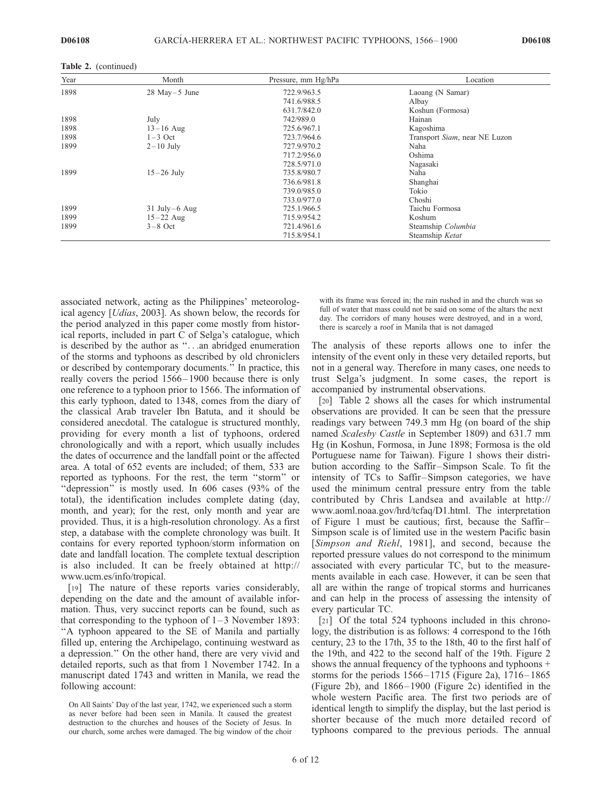|  | <b>Table 2.</b> (continued) |
|--|-----------------------------|
|--|-----------------------------|

| Year | Month             | Pressure, mm Hg/hPa | Location                      |
|------|-------------------|---------------------|-------------------------------|
| 1898 | $28$ May - 5 June | 722.9/963.5         | Laoang (N Samar)              |
|      |                   | 741.6/988.5         | Albay                         |
|      |                   | 631.7/842.0         | Koshun (Formosa)              |
| 1898 | July              | 742/989.0           | Hainan                        |
| 1898 | $13 - 16$ Aug     | 725.6/967.1         | Kagoshima                     |
| 1898 | $1-3$ Oct         | 723.7/964.6         | Transport Siam, near NE Luzon |
| 1899 | $2-10$ July       | 727.9/970.2         | Naha                          |
|      |                   | 717.2/956.0         | Oshima                        |
|      |                   | 728.5/971.0         | Nagasaki                      |
| 1899 | $15-26$ July      | 735.8/980.7         | Naha                          |
|      |                   | 736.6/981.8         | Shanghai                      |
|      |                   | 739.0/985.0         | Tokio                         |
|      |                   | 733.0/977.0         | Choshi                        |
| 1899 | $31$ July-6 Aug   | 725.1/966.5         | Taichu Formosa                |
| 1899 | $15 - 22$ Aug     | 715.9/954.2         | Koshum                        |
| 1899 | $3-8$ Oct         | 721.4/961.6         | Steamship Columbia            |
|      |                   | 715.8/954.1         | Steamship Ketat               |

associated network, acting as the Philippines' meteorological agency [*Udias*, 2003]. As shown below, the records for the period analyzed in this paper come mostly from historical reports, included in part C of Selga's catalogue, which is described by the author as ''...an abridged enumeration of the storms and typhoons as described by old chroniclers or described by contemporary documents.'' In practice, this really covers the period 1566 – 1900 because there is only one reference to a typhoon prior to 1566. The information of this early typhoon, dated to 1348, comes from the diary of the classical Arab traveler Ibn Batuta, and it should be considered anecdotal. The catalogue is structured monthly, providing for every month a list of typhoons, ordered chronologically and with a report, which usually includes the dates of occurrence and the landfall point or the affected area. A total of 652 events are included; of them, 533 are reported as typhoons. For the rest, the term ''storm'' or "depression" is mostly used. In 606 cases (93% of the total), the identification includes complete dating (day, month, and year); for the rest, only month and year are provided. Thus, it is a high-resolution chronology. As a first step, a database with the complete chronology was built. It contains for every reported typhoon/storm information on date and landfall location. The complete textual description is also included. It can be freely obtained at http:// www.ucm.es/info/tropical.

[19] The nature of these reports varies considerably, depending on the date and the amount of available information. Thus, very succinct reports can be found, such as that corresponding to the typhoon of  $1-3$  November 1893: ''A typhoon appeared to the SE of Manila and partially filled up, entering the Archipelago, continuing westward as a depression.'' On the other hand, there are very vivid and detailed reports, such as that from 1 November 1742. In a manuscript dated 1743 and written in Manila, we read the following account:

with its frame was forced in; the rain rushed in and the church was so full of water that mass could not be said on some of the altars the next day. The corridors of many houses were destroyed, and in a word, there is scarcely a roof in Manila that is not damaged

The analysis of these reports allows one to infer the intensity of the event only in these very detailed reports, but not in a general way. Therefore in many cases, one needs to trust Selga's judgment. In some cases, the report is accompanied by instrumental observations.

[20] Table 2 shows all the cases for which instrumental observations are provided. It can be seen that the pressure readings vary between 749.3 mm Hg (on board of the ship named Scalesby Castle in September 1809) and 631.7 mm Hg (in Koshun, Formosa, in June 1898; Formosa is the old Portuguese name for Taiwan). Figure 1 shows their distribution according to the Saffir–Simpson Scale. To fit the intensity of TCs to Saffir–Simpson categories, we have used the minimum central pressure entry from the table contributed by Chris Landsea and available at http:// www.aoml.noaa.gov/hrd/tcfaq/D1.html. The interpretation of Figure 1 must be cautious; first, because the Saffir– Simpson scale is of limited use in the western Pacific basin [Simpson and Riehl, 1981], and second, because the reported pressure values do not correspond to the minimum associated with every particular TC, but to the measurements available in each case. However, it can be seen that all are within the range of tropical storms and hurricanes and can help in the process of assessing the intensity of every particular TC.

[21] Of the total 524 typhoons included in this chronology, the distribution is as follows: 4 correspond to the 16th century, 23 to the 17th, 35 to the 18th, 40 to the first half of the 19th, and 422 to the second half of the 19th. Figure 2 shows the annual frequency of the typhoons and typhoons + storms for the periods  $1566 - 1715$  (Figure 2a),  $1716 - 1865$ (Figure 2b), and 1866– 1900 (Figure 2c) identified in the whole western Pacific area. The first two periods are of identical length to simplify the display, but the last period is shorter because of the much more detailed record of typhoons compared to the previous periods. The annual

On All Saints' Day of the last year, 1742, we experienced such a storm as never before had been seen in Manila. It caused the greatest destruction to the churches and houses of the Society of Jesus. In our church, some arches were damaged. The big window of the choir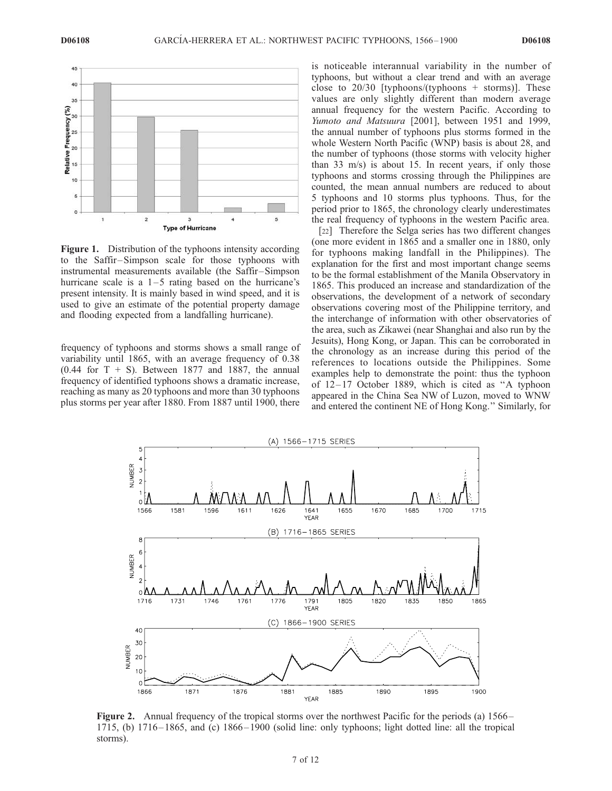

Figure 1. Distribution of the typhoons intensity according to the Saffir –Simpson scale for those typhoons with instrumental measurements available (the Saffir–Simpson hurricane scale is a  $1-5$  rating based on the hurricane's present intensity. It is mainly based in wind speed, and it is used to give an estimate of the potential property damage and flooding expected from a landfalling hurricane).

frequency of typhoons and storms shows a small range of variability until 1865, with an average frequency of 0.38  $(0.44$  for T + S). Between 1877 and 1887, the annual frequency of identified typhoons shows a dramatic increase, reaching as many as 20 typhoons and more than 30 typhoons plus storms per year after 1880. From 1887 until 1900, there is noticeable interannual variability in the number of typhoons, but without a clear trend and with an average close to  $20/30$  [typhoons/(typhoons + storms)]. These values are only slightly different than modern average annual frequency for the western Pacific. According to Yumoto and Matsuura [2001], between 1951 and 1999, the annual number of typhoons plus storms formed in the whole Western North Pacific (WNP) basis is about 28, and the number of typhoons (those storms with velocity higher than 33 m/s) is about 15. In recent years, if only those typhoons and storms crossing through the Philippines are counted, the mean annual numbers are reduced to about 5 typhoons and 10 storms plus typhoons. Thus, for the period prior to 1865, the chronology clearly underestimates the real frequency of typhoons in the western Pacific area.

[22] Therefore the Selga series has two different changes (one more evident in 1865 and a smaller one in 1880, only for typhoons making landfall in the Philippines). The explanation for the first and most important change seems to be the formal establishment of the Manila Observatory in 1865. This produced an increase and standardization of the observations, the development of a network of secondary observations covering most of the Philippine territory, and the interchange of information with other observatories of the area, such as Zikawei (near Shanghai and also run by the Jesuits), Hong Kong, or Japan. This can be corroborated in the chronology as an increase during this period of the references to locations outside the Philippines. Some examples help to demonstrate the point: thus the typhoon of 12– 17 October 1889, which is cited as ''A typhoon appeared in the China Sea NW of Luzon, moved to WNW and entered the continent NE of Hong Kong.'' Similarly, for



Figure 2. Annual frequency of the tropical storms over the northwest Pacific for the periods (a) 1566 – 1715, (b) 1716 – 1865, and (c) 1866 – 1900 (solid line: only typhoons; light dotted line: all the tropical storms).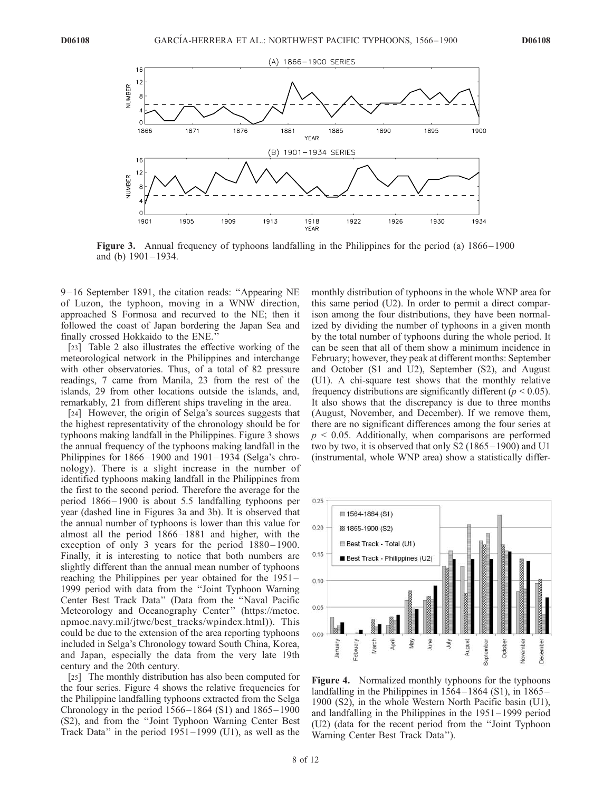

Figure 3. Annual frequency of typhoons landfalling in the Philippines for the period (a) 1866–1900 and (b) 1901– 1934.

9 – 16 September 1891, the citation reads: ''Appearing NE of Luzon, the typhoon, moving in a WNW direction, approached S Formosa and recurved to the NE; then it followed the coast of Japan bordering the Japan Sea and finally crossed Hokkaido to the ENE.

[23] Table 2 also illustrates the effective working of the meteorological network in the Philippines and interchange with other observatories. Thus, of a total of 82 pressure readings, 7 came from Manila, 23 from the rest of the islands, 29 from other locations outside the islands, and, remarkably, 21 from different ships traveling in the area.

[24] However, the origin of Selga's sources suggests that the highest representativity of the chronology should be for typhoons making landfall in the Philippines. Figure 3 shows the annual frequency of the typhoons making landfall in the Philippines for  $1866 - 1900$  and  $1901 - 1934$  (Selga's chronology). There is a slight increase in the number of identified typhoons making landfall in the Philippines from the first to the second period. Therefore the average for the period 1866 – 1900 is about 5.5 landfalling typhoons per year (dashed line in Figures 3a and 3b). It is observed that the annual number of typhoons is lower than this value for almost all the period 1866 – 1881 and higher, with the exception of only 3 years for the period  $1880 - 1900$ . Finally, it is interesting to notice that both numbers are slightly different than the annual mean number of typhoons reaching the Philippines per year obtained for the 1951 – 1999 period with data from the ''Joint Typhoon Warning Center Best Track Data'' (Data from the ''Naval Pacific Meteorology and Oceanography Center'' (https://metoc. npmoc.navy.mil/jtwc/best\_tracks/wpindex.html)). This could be due to the extension of the area reporting typhoons included in Selga's Chronology toward South China, Korea, and Japan, especially the data from the very late 19th century and the 20th century.

[25] The monthly distribution has also been computed for the four series. Figure 4 shows the relative frequencies for the Philippine landfalling typhoons extracted from the Selga Chronology in the period  $1566 - 1864$  (S1) and  $1865 - 1900$ (S2), and from the ''Joint Typhoon Warning Center Best Track Data'' in the period 1951 – 1999 (U1), as well as the

monthly distribution of typhoons in the whole WNP area for this same period (U2). In order to permit a direct comparison among the four distributions, they have been normalized by dividing the number of typhoons in a given month by the total number of typhoons during the whole period. It can be seen that all of them show a minimum incidence in February; however, they peak at different months: September and October (S1 and U2), September (S2), and August (U1). A chi-square test shows that the monthly relative frequency distributions are significantly different ( $p < 0.05$ ). It also shows that the discrepancy is due to three months (August, November, and December). If we remove them, there are no significant differences among the four series at  $p \le 0.05$ . Additionally, when comparisons are performed two by two, it is observed that only S2 (1865 –1900) and U1 (instrumental, whole WNP area) show a statistically differ-



Figure 4. Normalized monthly typhoons for the typhoons landfalling in the Philippines in  $1564 - 1864$  (S1), in  $1865 -$ 1900 (S2), in the whole Western North Pacific basin (U1), and landfalling in the Philippines in the 1951 –1999 period (U2) (data for the recent period from the ''Joint Typhoon Warning Center Best Track Data'').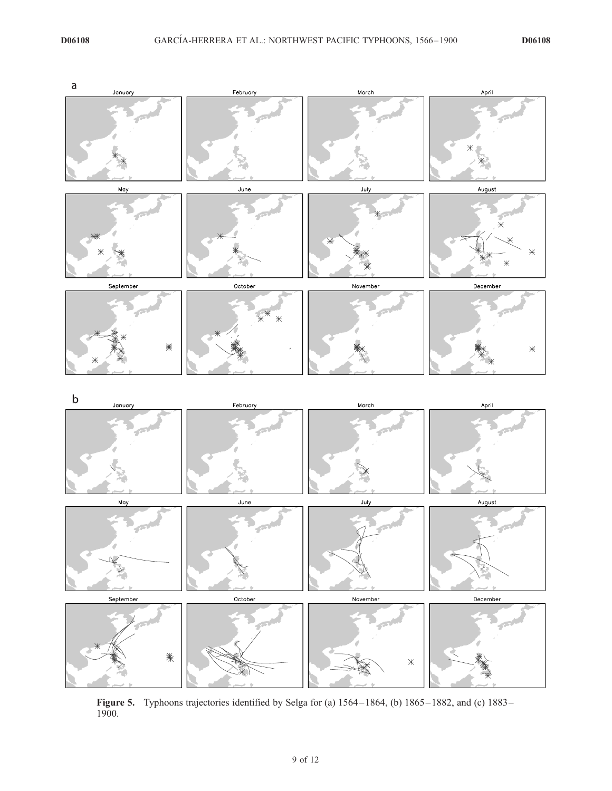

**Figure 5.** Typhoons trajectories identified by Selga for (a)  $1564 - 1864$ , (b)  $1865 - 1882$ , and (c)  $1883 -$ 1900.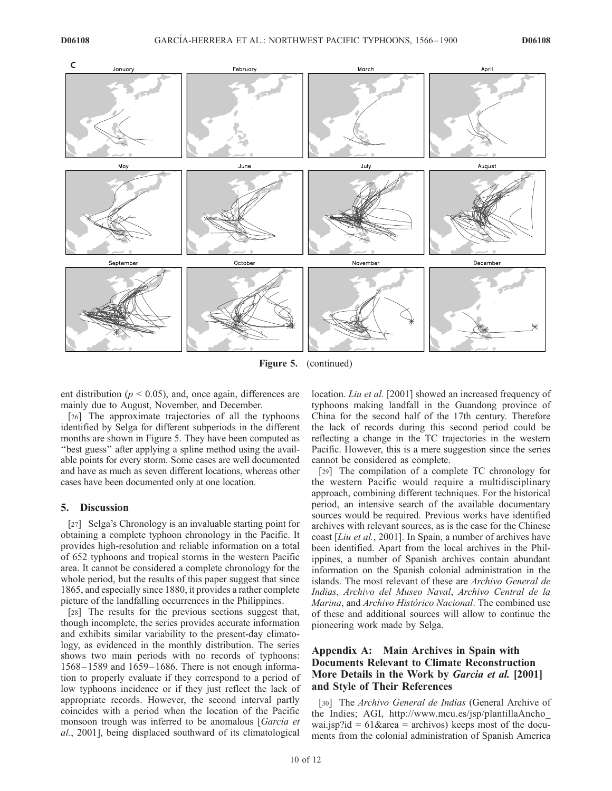

Figure 5. (continued)

ent distribution ( $p < 0.05$ ), and, once again, differences are mainly due to August, November, and December.

[26] The approximate trajectories of all the typhoons identified by Selga for different subperiods in the different months are shown in Figure 5. They have been computed as ''best guess'' after applying a spline method using the available points for every storm. Some cases are well documented and have as much as seven different locations, whereas other cases have been documented only at one location.

#### 5. Discussion

[27] Selga's Chronology is an invaluable starting point for obtaining a complete typhoon chronology in the Pacific. It provides high-resolution and reliable information on a total of 652 typhoons and tropical storms in the western Pacific area. It cannot be considered a complete chronology for the whole period, but the results of this paper suggest that since 1865, and especially since 1880, it provides a rather complete picture of the landfalling occurrences in the Philippines.

[28] The results for the previous sections suggest that, though incomplete, the series provides accurate information and exhibits similar variability to the present-day climatology, as evidenced in the monthly distribution. The series shows two main periods with no records of typhoons: 1568 – 1589 and 1659 – 1686. There is not enough information to properly evaluate if they correspond to a period of low typhoons incidence or if they just reflect the lack of appropriate records. However, the second interval partly coincides with a period when the location of the Pacific monsoon trough was inferred to be anomalous [García et al., 2001], being displaced southward of its climatological

location. *Liu et al.* [2001] showed an increased frequency of typhoons making landfall in the Guandong province of China for the second half of the 17th century. Therefore the lack of records during this second period could be reflecting a change in the TC trajectories in the western Pacific. However, this is a mere suggestion since the series cannot be considered as complete.

[29] The compilation of a complete TC chronology for the western Pacific would require a multidisciplinary approach, combining different techniques. For the historical period, an intensive search of the available documentary sources would be required. Previous works have identified archives with relevant sources, as is the case for the Chinese coast [Liu et al., 2001]. In Spain, a number of archives have been identified. Apart from the local archives in the Philippines, a number of Spanish archives contain abundant information on the Spanish colonial administration in the islands. The most relevant of these are Archivo General de Indias, Archivo del Museo Naval, Archivo Central de la Marina, and Archivo Histórico Nacional. The combined use of these and additional sources will allow to continue the pioneering work made by Selga.

## Appendix A: Main Archives in Spain with Documents Relevant to Climate Reconstruction More Details in the Work by *Garcia et al.* [2001] and Style of Their References

[30] The Archivo General de Indias (General Archive of the Indies; AGI, http://www.mcu.es/jsp/plantillaAncho\_ wai.jsp?id =  $61\&$ area = archivos) keeps most of the documents from the colonial administration of Spanish America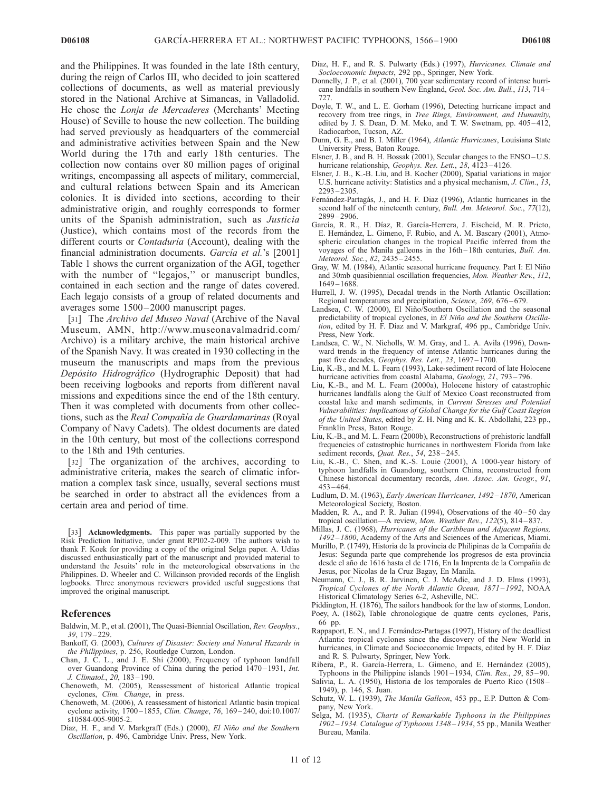and the Philippines. It was founded in the late 18th century, during the reign of Carlos III, who decided to join scattered collections of documents, as well as material previously stored in the National Archive at Simancas, in Valladolid. He chose the Lonja de Mercaderes (Merchants' Meeting House) of Seville to house the new collection. The building had served previously as headquarters of the commercial and administrative activities between Spain and the New World during the 17th and early 18th centuries. The collection now contains over 80 million pages of original writings, encompassing all aspects of military, commercial, and cultural relations between Spain and its American colonies. It is divided into sections, according to their administrative origin, and roughly corresponds to former units of the Spanish administration, such as Justicia (Justice), which contains most of the records from the different courts or *Contaduría* (Account), dealing with the financial administration documents. García et al.'s [2001] Table 1 shows the current organization of the AGI, together with the number of "legajos," or manuscript bundles, contained in each section and the range of dates covered. Each legajo consists of a group of related documents and averages some  $1500 - 2000$  manuscript pages.

[31] The Archivo del Museo Naval (Archive of the Naval Museum, AMN, http://www.museonavalmadrid.com/ Archivo) is a military archive, the main historical archive of the Spanish Navy. It was created in 1930 collecting in the museum the manuscripts and maps from the previous Depósito Hidrográfico (Hydrographic Deposit) that had been receiving logbooks and reports from different naval missions and expeditions since the end of the 18th century. Then it was completed with documents from other collections, such as the Real Compañía de Guardamarinas (Royal Company of Navy Cadets). The oldest documents are dated in the 10th century, but most of the collections correspond to the 18th and 19th centuries.

[32] The organization of the archives, according to administrative criteria, makes the search of climatic information a complex task since, usually, several sections must be searched in order to abstract all the evidences from a certain area and period of time.

[33] Acknowledgments. This paper was partially supported by the Risk Prediction Initiative, under grant RPI02-2-009. The authors wish to thank F. Koek for providing a copy of the original Selga paper. A. Udías discussed enthusiastically part of the manuscript and provided material to understand the Jesuits' role in the meteorological observations in the Philippines. D. Wheeler and C. Wilkinson provided records of the English logbooks. Three anonymous reviewers provided useful suggestions that improved the original manuscript.

#### References

- Baldwin, M. P., et al. (2001), The Quasi-Biennial Oscillation, Rev. Geophys., 39, 179 – 229.
- Bankoff, G. (2003), Cultures of Disaster: Society and Natural Hazards in the Philippines, p. 256, Routledge Curzon, London.
- Chan, J. C. L., and J. E. Shi (2000), Frequency of typhoon landfall over Guandong Province of China during the period 1470-1931, Int. J. Climatol., 20, 183-190.
- Chenoweth, M. (2005), Reassessment of historical Atlantic tropical cyclones, Clim. Change, in press.
- Chenoweth, M. (2006), A reassessment of historical Atlantic basin tropical cyclone activity, 1700-1855, Clim. Change, 76, 169-240, doi:10.1007/ s10584-005-9005-2.
- Díaz, H. F., and V. Markgraff (Eds.) (2000), El Niño and the Southern Oscillation, p. 496, Cambridge Univ. Press, New York.
- Díaz, H. F., and R. S. Pulwarty (Eds.) (1997), Hurricanes. Climate and Socioeconomic Impacts, 292 pp., Springer, New York.
- Donnelly, J. P., et al. (2001), 700 year sedimentary record of intense hurricane landfalls in southern New England, Geol. Soc. Am. Bull., 113, 714 – 727.
- Doyle, T. W., and L. E. Gorham (1996), Detecting hurricane impact and recovery from tree rings, in Tree Rings, Environment, and Humanity, edited by J. S. Dean, D. M. Meko, and T. W. Swetnam, pp. 405-412, Radiocarbon, Tucson, AZ.
- Dunn, G. E., and B. I. Miller (1964), Atlantic Hurricanes, Louisiana State University Press, Baton Rouge.
- Elsner, J. B., and B. H. Bossak (2001), Secular changes to the ENSO-U.S. hurricane relationship, Geophys. Res. Lett., 28, 4123-4126.
- Elsner, J. B., K.-B. Liu, and B. Kocher (2000), Spatial variations in major U.S. hurricane activity: Statistics and a physical mechanism, J. Clim., 13, 2293 – 2305.
- Fernández-Partagás, J., and H. F. Diaz (1996), Atlantic hurricanes in the second half of the nineteenth century, Bull. Am. Meteorol. Soc., 77(12), 2899 – 2906.
- García, R. R., H. Díaz, R. García-Herrera, J. Eischeid, M. R. Prieto, E. Hernández, L. Gimeno, F. Rubio, and A. M. Bascary (2001), Atmospheric circulation changes in the tropical Pacific inferred from the voyages of the Manila galleons in the 16th – 18th centuries, Bull. Am. Meteorol. Soc., 82, 2435 – 2455.
- Gray, W. M. (1984), Atlantic seasonal hurricane frequency. Part I: El Niño and 30mb quasibiennial oscillation frequencies, Mon. Weather Rev., 112, 1649 – 1688.
- Hurrell, J. W. (1995), Decadal trends in the North Atlantic Oscillation: Regional temperatures and precipitation, Science, 269, 676 – 679.
- Landsea, C. W. (2000), El Niño/Southern Oscillation and the seasonal predictability of tropical cyclones, in El Niño and the Southern Oscillation, edited by H. F. Díaz and V. Markgraf, 496 pp., Cambridge Univ. Press, New York.
- Landsea, C. W., N. Nicholls, W. M. Gray, and L. A. Avila (1996), Downward trends in the frequency of intense Atlantic hurricanes during the past five decades, Geophys. Res. Lett., 23, 1697-1700.
- Liu, K.-B., and M. L. Fearn (1993), Lake-sediment record of late Holocene hurricane activities from coastal Alabama, Geology, 21, 793-796.
- Liu, K.-B., and M. L. Fearn (2000a), Holocene history of catastrophic hurricanes landfalls along the Gulf of Mexico Coast reconstructed from coastal lake and marsh sediments, in Current Stresses and Potential Vulnerabilities: Implications of Global Change for the Gulf Coast Region of the United States, edited by Z. H. Ning and K. K. Abdollahi, 223 pp., Franklin Press, Baton Rouge.
- Liu, K.-B., and M. L. Fearn (2000b), Reconstructions of prehistoric landfall frequencies of catastrophic hurricanes in northwestern Florida from lake sediment records, Quat. Res., 54, 238-245.
- Liu, K.-B., C. Shen, and K.-S. Louie (2001), A 1000-year history of typhoon landfalls in Guandong, southern China, reconstructed from Chinese historical documentary records, Ann. Assoc. Am. Geogr., 91, 453 – 464.
- Ludlum, D. M. (1963), Early American Hurricanes, 1492 1870, American Meteorological Society, Boston.
- Madden, R. A., and P. R. Julian (1994), Observations of the  $40-50$  day tropical oscillation—A review, Mon. Weather Rev., 122(5), 814-837.
- Millas, J. C. (1968), Hurricanes of the Caribbean and Adjacent Regions, 1492 – 1800, Academy of the Arts and Sciences of the Americas, Miami.
- Murillo, P. (1749), Historia de la provincia de Philipinas de la Compañía de Jesus: Segunda parte que comprehende los progresos de esta provincia desde el año de 1616 hasta el de 1716, En la Imprenta de la Compañía de Jesus, por Nicolas de la Cruz Bagay, En Manila.
- Neumann, C. J., B. R. Jarvinen, C. J. McAdie, and J. D. Elms (1993), Tropical Cyclones of the North Atlantic Ocean, 1871 – 1992, NOAA Historical Climatology Series 6-2, Asheville, NC.
- Piddington, H. (1876), The sailors handbook for the law of storms, London.
- Poey, A. (1862), Table chronologique de quatre cents cyclones, Paris, 66 pp.
- Rappaport, E. N., and J. Fernández-Partagas (1997), History of the deadliest Atlantic tropical cyclones since the discovery of the New World in hurricanes, in Climate and Socioeconomic Impacts, edited by H. F. Díaz and R. S. Pulwarty, Springer, New York.
- Ribera, P., R. García-Herrera, L. Gimeno, and E. Hernández (2005), Typhoons in the Philippine islands  $1901 - 1934$ , *Clim. Res.*,  $29$ ,  $85 - 90$ .
- Salivia, L. A. (1950), Historia de los temporales de Puerto Rico (1508 1949), p. 146, S. Juan.
- Schutz, W. L. (1939), The Manila Galleon, 453 pp., E.P. Dutton & Company, New York.
- Selga, M. (1935), Charts of Remarkable Typhoons in the Philippines 1902 – 1934. Catalogue of Typhoons 1348 – 1934, 55 pp., Manila Weather Bureau, Manila.